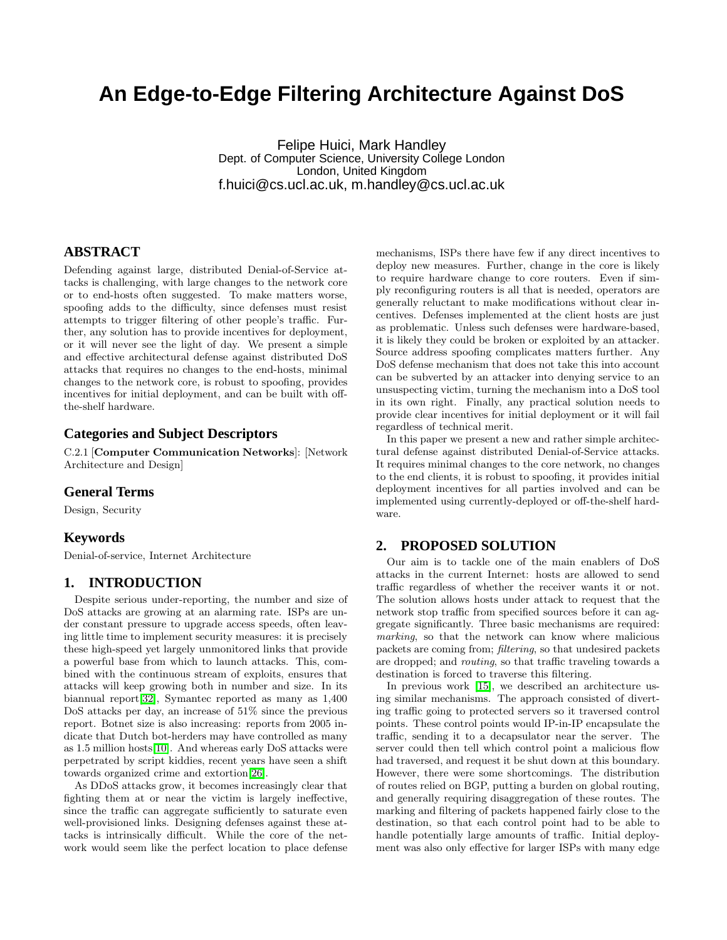# **An Edge-to-Edge Filtering Architecture Against DoS**

Felipe Huici, Mark Handley Dept. of Computer Science, University College London London, United Kingdom f.huici@cs.ucl.ac.uk, m.handley@cs.ucl.ac.uk

## **ABSTRACT**

Defending against large, distributed Denial-of-Service attacks is challenging, with large changes to the network core or to end-hosts often suggested. To make matters worse, spoofing adds to the difficulty, since defenses must resist attempts to trigger filtering of other people's traffic. Further, any solution has to provide incentives for deployment, or it will never see the light of day. We present a simple and effective architectural defense against distributed DoS attacks that requires no changes to the end-hosts, minimal changes to the network core, is robust to spoofing, provides incentives for initial deployment, and can be built with offthe-shelf hardware.

## **Categories and Subject Descriptors**

C.2.1 [Computer Communication Networks]: [Network Architecture and Design]

#### **General Terms**

Design, Security

## **Keywords**

Denial-of-service, Internet Architecture

#### **1. INTRODUCTION**

Despite serious under-reporting, the number and size of DoS attacks are growing at an alarming rate. ISPs are under constant pressure to upgrade access speeds, often leaving little time to implement security measures: it is precisely these high-speed yet largely unmonitored links that provide a powerful base from which to launch attacks. This, combined with the continuous stream of exploits, ensures that attacks will keep growing both in number and size. In its biannual report[\[32\]](#page-9-0), Symantec reported as many as 1,400 DoS attacks per day, an increase of 51% since the previous report. Botnet size is also increasing: reports from 2005 indicate that Dutch bot-herders may have controlled as many as 1.5 million hosts[\[10\]](#page-9-1). And whereas early DoS attacks were perpetrated by script kiddies, recent years have seen a shift towards organized crime and extortion[\[26\]](#page-9-2).

As DDoS attacks grow, it becomes increasingly clear that fighting them at or near the victim is largely ineffective, since the traffic can aggregate sufficiently to saturate even well-provisioned links. Designing defenses against these attacks is intrinsically difficult. While the core of the network would seem like the perfect location to place defense

mechanisms, ISPs there have few if any direct incentives to deploy new measures. Further, change in the core is likely to require hardware change to core routers. Even if simply reconfiguring routers is all that is needed, operators are generally reluctant to make modifications without clear incentives. Defenses implemented at the client hosts are just as problematic. Unless such defenses were hardware-based, it is likely they could be broken or exploited by an attacker. Source address spoofing complicates matters further. Any DoS defense mechanism that does not take this into account can be subverted by an attacker into denying service to an unsuspecting victim, turning the mechanism into a DoS tool in its own right. Finally, any practical solution needs to provide clear incentives for initial deployment or it will fail regardless of technical merit.

In this paper we present a new and rather simple architectural defense against distributed Denial-of-Service attacks. It requires minimal changes to the core network, no changes to the end clients, it is robust to spoofing, it provides initial deployment incentives for all parties involved and can be implemented using currently-deployed or off-the-shelf hardware.

# **2. PROPOSED SOLUTION**

Our aim is to tackle one of the main enablers of DoS attacks in the current Internet: hosts are allowed to send traffic regardless of whether the receiver wants it or not. The solution allows hosts under attack to request that the network stop traffic from specified sources before it can aggregate significantly. Three basic mechanisms are required: marking, so that the network can know where malicious packets are coming from; filtering, so that undesired packets are dropped; and routing, so that traffic traveling towards a destination is forced to traverse this filtering.

In previous work [\[15\]](#page-9-3), we described an architecture using similar mechanisms. The approach consisted of diverting traffic going to protected servers so it traversed control points. These control points would IP-in-IP encapsulate the traffic, sending it to a decapsulator near the server. The server could then tell which control point a malicious flow had traversed, and request it be shut down at this boundary. However, there were some shortcomings. The distribution of routes relied on BGP, putting a burden on global routing, and generally requiring disaggregation of these routes. The marking and filtering of packets happened fairly close to the destination, so that each control point had to be able to handle potentially large amounts of traffic. Initial deployment was also only effective for larger ISPs with many edge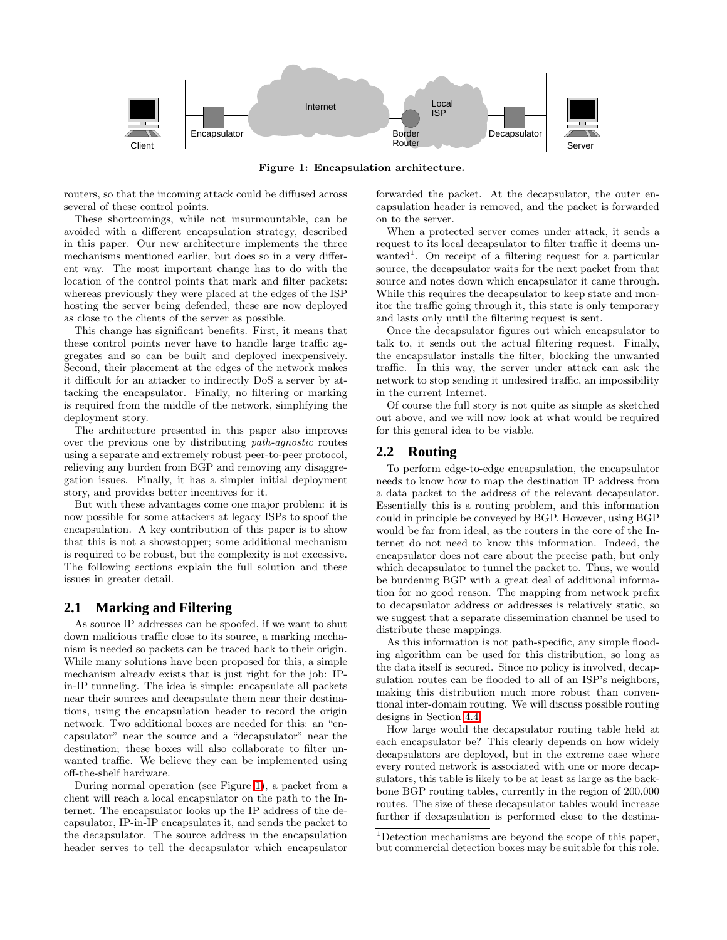

<span id="page-1-0"></span>Figure 1: Encapsulation architecture.

routers, so that the incoming attack could be diffused across several of these control points.

These shortcomings, while not insurmountable, can be avoided with a different encapsulation strategy, described in this paper. Our new architecture implements the three mechanisms mentioned earlier, but does so in a very different way. The most important change has to do with the location of the control points that mark and filter packets: whereas previously they were placed at the edges of the ISP hosting the server being defended, these are now deployed as close to the clients of the server as possible.

This change has significant benefits. First, it means that these control points never have to handle large traffic aggregates and so can be built and deployed inexpensively. Second, their placement at the edges of the network makes it difficult for an attacker to indirectly DoS a server by attacking the encapsulator. Finally, no filtering or marking is required from the middle of the network, simplifying the deployment story.

The architecture presented in this paper also improves over the previous one by distributing path-agnostic routes using a separate and extremely robust peer-to-peer protocol, relieving any burden from BGP and removing any disaggregation issues. Finally, it has a simpler initial deployment story, and provides better incentives for it.

But with these advantages come one major problem: it is now possible for some attackers at legacy ISPs to spoof the encapsulation. A key contribution of this paper is to show that this is not a showstopper; some additional mechanism is required to be robust, but the complexity is not excessive. The following sections explain the full solution and these issues in greater detail.

## **2.1 Marking and Filtering**

As source IP addresses can be spoofed, if we want to shut down malicious traffic close to its source, a marking mechanism is needed so packets can be traced back to their origin. While many solutions have been proposed for this, a simple mechanism already exists that is just right for the job: IPin-IP tunneling. The idea is simple: encapsulate all packets near their sources and decapsulate them near their destinations, using the encapsulation header to record the origin network. Two additional boxes are needed for this: an "encapsulator" near the source and a "decapsulator" near the destination; these boxes will also collaborate to filter unwanted traffic. We believe they can be implemented using off-the-shelf hardware.

During normal operation (see Figure [1\)](#page-1-0), a packet from a client will reach a local encapsulator on the path to the Internet. The encapsulator looks up the IP address of the decapsulator, IP-in-IP encapsulates it, and sends the packet to the decapsulator. The source address in the encapsulation header serves to tell the decapsulator which encapsulator forwarded the packet. At the decapsulator, the outer encapsulation header is removed, and the packet is forwarded on to the server.

When a protected server comes under attack, it sends a request to its local decapsulator to filter traffic it deems unwanted<sup>1</sup>. On receipt of a filtering request for a particular source, the decapsulator waits for the next packet from that source and notes down which encapsulator it came through. While this requires the decapsulator to keep state and monitor the traffic going through it, this state is only temporary and lasts only until the filtering request is sent.

Once the decapsulator figures out which encapsulator to talk to, it sends out the actual filtering request. Finally, the encapsulator installs the filter, blocking the unwanted traffic. In this way, the server under attack can ask the network to stop sending it undesired traffic, an impossibility in the current Internet.

Of course the full story is not quite as simple as sketched out above, and we will now look at what would be required for this general idea to be viable.

#### **2.2 Routing**

To perform edge-to-edge encapsulation, the encapsulator needs to know how to map the destination IP address from a data packet to the address of the relevant decapsulator. Essentially this is a routing problem, and this information could in principle be conveyed by BGP. However, using BGP would be far from ideal, as the routers in the core of the Internet do not need to know this information. Indeed, the encapsulator does not care about the precise path, but only which decapsulator to tunnel the packet to. Thus, we would be burdening BGP with a great deal of additional information for no good reason. The mapping from network prefix to decapsulator address or addresses is relatively static, so we suggest that a separate dissemination channel be used to distribute these mappings.

As this information is not path-specific, any simple flooding algorithm can be used for this distribution, so long as the data itself is secured. Since no policy is involved, decapsulation routes can be flooded to all of an ISP's neighbors, making this distribution much more robust than conventional inter-domain routing. We will discuss possible routing designs in Section [4.4.](#page-5-0)

How large would the decapsulator routing table held at each encapsulator be? This clearly depends on how widely decapsulators are deployed, but in the extreme case where every routed network is associated with one or more decapsulators, this table is likely to be at least as large as the backbone BGP routing tables, currently in the region of 200,000 routes. The size of these decapsulator tables would increase further if decapsulation is performed close to the destina-

<sup>1</sup>Detection mechanisms are beyond the scope of this paper, but commercial detection boxes may be suitable for this role.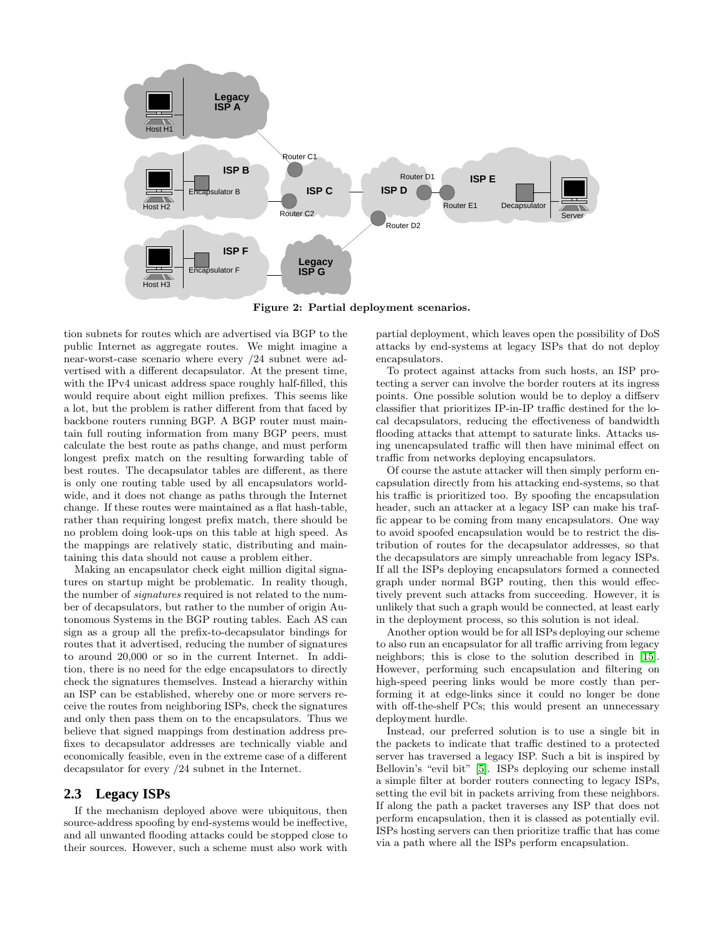

<span id="page-2-0"></span>Figure 2: Partial deployment scenarios.

tion subnets for routes which are advertised via BGP to the public Internet as aggregate routes. We might imagine a near-worst-case scenario where every /24 subnet were advertised with a different decapsulator. At the present time, with the IPv4 unicast address space roughly half-filled, this would require about eight million prefixes. This seems like a lot, but the problem is rather different from that faced by backbone routers running BGP. A BGP router must maintain full routing information from many BGP peers, must calculate the best route as paths change, and must perform longest prefix match on the resulting forwarding table of best routes. The decapsulator tables are different, as there is only one routing table used by all encapsulators worldwide, and it does not change as paths through the Internet change. If these routes were maintained as a flat hash-table, rather than requiring longest prefix match, there should be no problem doing look-ups on this table at high speed. As the mappings are relatively static, distributing and maintaining this data should not cause a problem either.

Making an encapsulator check eight million digital signatures on startup might be problematic. In reality though, the number of signatures required is not related to the number of decapsulators, but rather to the number of origin Autonomous Systems in the BGP routing tables. Each AS can sign as a group all the prefix-to-decapsulator bindings for routes that it advertised, reducing the number of signatures to around 20,000 or so in the current Internet. In addition, there is no need for the edge encapsulators to directly check the signatures themselves. Instead a hierarchy within an ISP can be established, whereby one or more servers receive the routes from neighboring ISPs, check the signatures and only then pass them on to the encapsulators. Thus we believe that signed mappings from destination address prefixes to decapsulator addresses are technically viable and economically feasible, even in the extreme case of a different decapsulator for every /24 subnet in the Internet.

#### **2.3 Legacy ISPs**

If the mechanism deployed above were ubiquitous, then source-address spoofing by end-systems would be ineffective, and all unwanted flooding attacks could be stopped close to their sources. However, such a scheme must also work with partial deployment, which leaves open the possibility of DoS attacks by end-systems at legacy ISPs that do not deploy encapsulators.

To protect against attacks from such hosts, an ISP protecting a server can involve the border routers at its ingress points. One possible solution would be to deploy a diffserv classifier that prioritizes IP-in-IP traffic destined for the local decapsulators, reducing the effectiveness of bandwidth flooding attacks that attempt to saturate links. Attacks using unencapsulated traffic will then have minimal effect on traffic from networks deploying encapsulators.

Of course the astute attacker will then simply perform encapsulation directly from his attacking end-systems, so that his traffic is prioritized too. By spoofing the encapsulation header, such an attacker at a legacy ISP can make his traffic appear to be coming from many encapsulators. One way to avoid spoofed encapsulation would be to restrict the distribution of routes for the decapsulator addresses, so that the decapsulators are simply unreachable from legacy ISPs. If all the ISPs deploying encapsulators formed a connected graph under normal BGP routing, then this would effectively prevent such attacks from succeeding. However, it is unlikely that such a graph would be connected, at least early in the deployment process, so this solution is not ideal.

Another option would be for all ISPs deploying our scheme to also run an encapsulator for all traffic arriving from legacy neighbors; this is close to the solution described in [\[15\]](#page-9-3). However, performing such encapsulation and filtering on high-speed peering links would be more costly than performing it at edge-links since it could no longer be done with off-the-shelf PCs; this would present an unnecessary deployment hurdle.

Instead, our preferred solution is to use a single bit in the packets to indicate that traffic destined to a protected server has traversed a legacy ISP. Such a bit is inspired by Bellovin's "evil bit" [\[5\]](#page-9-4). ISPs deploying our scheme install a simple filter at border routers connecting to legacy ISPs, setting the evil bit in packets arriving from these neighbors. If along the path a packet traverses any ISP that does not perform encapsulation, then it is classed as potentially evil. ISPs hosting servers can then prioritize traffic that has come via a path where all the ISPs perform encapsulation.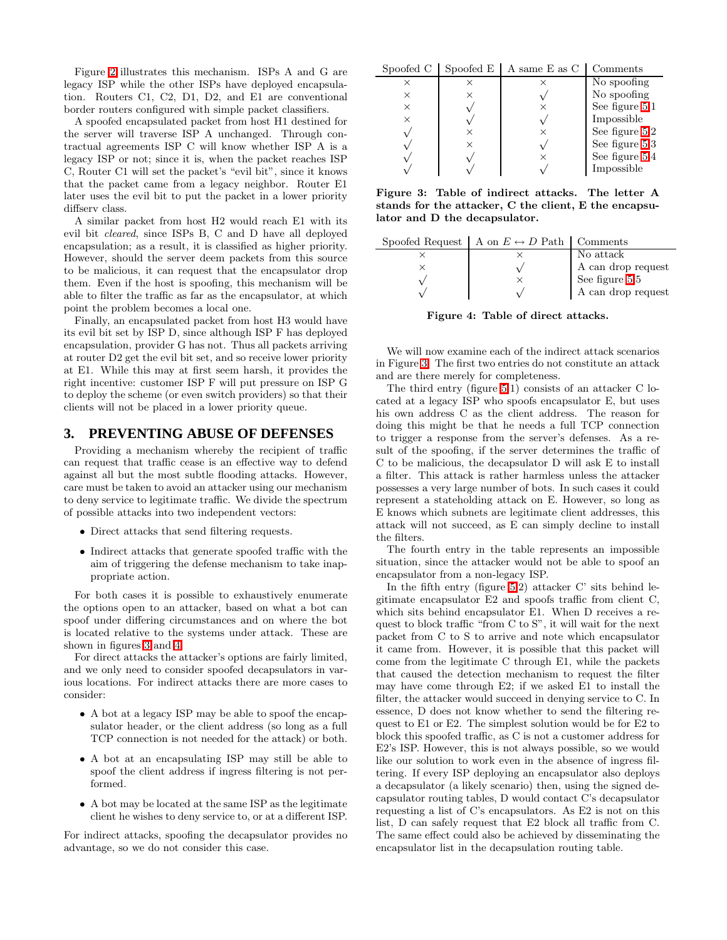Figure [2](#page-2-0) illustrates this mechanism. ISPs A and G are legacy ISP while the other ISPs have deployed encapsulation. Routers C1, C2, D1, D2, and E1 are conventional border routers configured with simple packet classifiers.

A spoofed encapsulated packet from host H1 destined for the server will traverse ISP A unchanged. Through contractual agreements ISP C will know whether ISP A is a legacy ISP or not; since it is, when the packet reaches ISP C, Router C1 will set the packet's "evil bit", since it knows that the packet came from a legacy neighbor. Router E1 later uses the evil bit to put the packet in a lower priority diffserv class.

A similar packet from host H2 would reach E1 with its evil bit cleared, since ISPs B, C and D have all deployed encapsulation; as a result, it is classified as higher priority. However, should the server deem packets from this source to be malicious, it can request that the encapsulator drop them. Even if the host is spoofing, this mechanism will be able to filter the traffic as far as the encapsulator, at which point the problem becomes a local one.

Finally, an encapsulated packet from host H3 would have its evil bit set by ISP D, since although ISP F has deployed encapsulation, provider G has not. Thus all packets arriving at router D2 get the evil bit set, and so receive lower priority at E1. While this may at first seem harsh, it provides the right incentive: customer ISP F will put pressure on ISP G to deploy the scheme (or even switch providers) so that their clients will not be placed in a lower priority queue.

#### <span id="page-3-2"></span>**3. PREVENTING ABUSE OF DEFENSES**

Providing a mechanism whereby the recipient of traffic can request that traffic cease is an effective way to defend against all but the most subtle flooding attacks. However, care must be taken to avoid an attacker using our mechanism to deny service to legitimate traffic. We divide the spectrum of possible attacks into two independent vectors:

- Direct attacks that send filtering requests.
- Indirect attacks that generate spoofed traffic with the aim of triggering the defense mechanism to take inappropriate action.

For both cases it is possible to exhaustively enumerate the options open to an attacker, based on what a bot can spoof under differing circumstances and on where the bot is located relative to the systems under attack. These are shown in figures [3](#page-3-0) and [4.](#page-3-1)

For direct attacks the attacker's options are fairly limited, and we only need to consider spoofed decapsulators in various locations. For indirect attacks there are more cases to consider:

- A bot at a legacy ISP may be able to spoof the encapsulator header, or the client address (so long as a full TCP connection is not needed for the attack) or both.
- A bot at an encapsulating ISP may still be able to spoof the client address if ingress filtering is not performed.
- A bot may be located at the same ISP as the legitimate client he wishes to deny service to, or at a different ISP.

For indirect attacks, spoofing the decapsulator provides no advantage, so we do not consider this case.

| Spoofed C | Spoofed E | A same E as C | Comments       |
|-----------|-----------|---------------|----------------|
| ×         |           |               | No spoofing    |
| $\times$  |           |               | No spoofing    |
| $\times$  |           |               | See figure 5:1 |
| $\times$  |           |               | Impossible     |
|           |           |               | See figure 5:2 |
|           | $\times$  |               | See figure 5:3 |
|           |           |               | See figure 5:4 |
|           |           |               | Impossible     |

<span id="page-3-0"></span>Figure 3: Table of indirect attacks. The letter A stands for the attacker, C the client, E the encapsulator and D the decapsulator.

| Spoofed Request   A on $E \leftrightarrow D$ Path   Comments |                                        |
|--------------------------------------------------------------|----------------------------------------|
|                                                              | No attack                              |
|                                                              | A can drop request                     |
|                                                              | See figure $5:5$<br>A can drop request |
|                                                              |                                        |

<span id="page-3-1"></span>Figure 4: Table of direct attacks.

We will now examine each of the indirect attack scenarios in Figure [3.](#page-3-0) The first two entries do not constitute an attack and are there merely for completeness.

The third entry (figure [5.](#page-4-0)1) consists of an attacker C located at a legacy ISP who spoofs encapsulator E, but uses his own address C as the client address. The reason for doing this might be that he needs a full TCP connection to trigger a response from the server's defenses. As a result of the spoofing, if the server determines the traffic of C to be malicious, the decapsulator D will ask E to install a filter. This attack is rather harmless unless the attacker possesses a very large number of bots. In such cases it could represent a stateholding attack on E. However, so long as E knows which subnets are legitimate client addresses, this attack will not succeed, as E can simply decline to install the filters.

The fourth entry in the table represents an impossible situation, since the attacker would not be able to spoof an encapsulator from a non-legacy ISP.

In the fifth entry (figure [5.](#page-4-0)2) attacker C' sits behind legitimate encapsulator E2 and spoofs traffic from client C, which sits behind encapsulator E1. When D receives a request to block traffic "from C to S", it will wait for the next packet from C to S to arrive and note which encapsulator it came from. However, it is possible that this packet will come from the legitimate C through E1, while the packets that caused the detection mechanism to request the filter may have come through E2; if we asked E1 to install the filter, the attacker would succeed in denying service to C. In essence, D does not know whether to send the filtering request to E1 or E2. The simplest solution would be for E2 to block this spoofed traffic, as C is not a customer address for E2's ISP. However, this is not always possible, so we would like our solution to work even in the absence of ingress filtering. If every ISP deploying an encapsulator also deploys a decapsulator (a likely scenario) then, using the signed decapsulator routing tables, D would contact C's decapsulator requesting a list of C's encapsulators. As E2 is not on this list, D can safely request that E2 block all traffic from C. The same effect could also be achieved by disseminating the encapsulator list in the decapsulation routing table.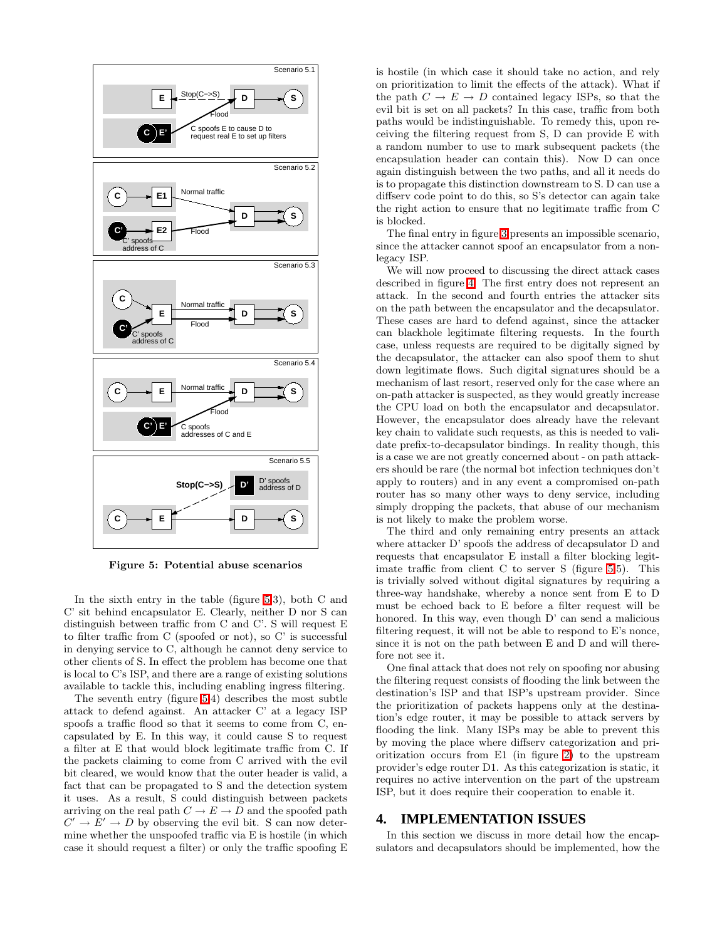

<span id="page-4-0"></span>Figure 5: Potential abuse scenarios

In the sixth entry in the table (figure [5.](#page-4-0)3), both C and C' sit behind encapsulator E. Clearly, neither D nor S can distinguish between traffic from C and C'. S will request E to filter traffic from C (spoofed or not), so C' is successful in denying service to C, although he cannot deny service to other clients of S. In effect the problem has become one that is local to C's ISP, and there are a range of existing solutions available to tackle this, including enabling ingress filtering.

The seventh entry (figure [5.](#page-4-0)4) describes the most subtle attack to defend against. An attacker C' at a legacy ISP spoofs a traffic flood so that it seems to come from C, encapsulated by E. In this way, it could cause S to request a filter at E that would block legitimate traffic from C. If the packets claiming to come from C arrived with the evil bit cleared, we would know that the outer header is valid, a fact that can be propagated to S and the detection system it uses. As a result, S could distinguish between packets arriving on the real path  $C \to E \to D$  and the spoofed path  $C' \rightarrow E' \rightarrow D$  by observing the evil bit. S can now determine whether the unspoofed traffic via E is hostile (in which case it should request a filter) or only the traffic spoofing E is hostile (in which case it should take no action, and rely on prioritization to limit the effects of the attack). What if the path  $C \to E \to D$  contained legacy ISPs, so that the evil bit is set on all packets? In this case, traffic from both paths would be indistinguishable. To remedy this, upon receiving the filtering request from S, D can provide E with a random number to use to mark subsequent packets (the encapsulation header can contain this). Now D can once again distinguish between the two paths, and all it needs do is to propagate this distinction downstream to S. D can use a diffserv code point to do this, so S's detector can again take the right action to ensure that no legitimate traffic from C is blocked.

The final entry in figure [3](#page-3-0) presents an impossible scenario, since the attacker cannot spoof an encapsulator from a nonlegacy ISP.

We will now proceed to discussing the direct attack cases described in figure [4.](#page-3-1) The first entry does not represent an attack. In the second and fourth entries the attacker sits on the path between the encapsulator and the decapsulator. These cases are hard to defend against, since the attacker can blackhole legitimate filtering requests. In the fourth case, unless requests are required to be digitally signed by the decapsulator, the attacker can also spoof them to shut down legitimate flows. Such digital signatures should be a mechanism of last resort, reserved only for the case where an on-path attacker is suspected, as they would greatly increase the CPU load on both the encapsulator and decapsulator. However, the encapsulator does already have the relevant key chain to validate such requests, as this is needed to validate prefix-to-decapsulator bindings. In reality though, this is a case we are not greatly concerned about - on path attackers should be rare (the normal bot infection techniques don't apply to routers) and in any event a compromised on-path router has so many other ways to deny service, including simply dropping the packets, that abuse of our mechanism is not likely to make the problem worse.

The third and only remaining entry presents an attack where attacker D' spoofs the address of decapsulator D and requests that encapsulator E install a filter blocking legitimate traffic from client C to server S (figure [5.](#page-4-0)5). This is trivially solved without digital signatures by requiring a three-way handshake, whereby a nonce sent from E to D must be echoed back to E before a filter request will be honored. In this way, even though D' can send a malicious filtering request, it will not be able to respond to E's nonce, since it is not on the path between E and D and will therefore not see it.

One final attack that does not rely on spoofing nor abusing the filtering request consists of flooding the link between the destination's ISP and that ISP's upstream provider. Since the prioritization of packets happens only at the destination's edge router, it may be possible to attack servers by flooding the link. Many ISPs may be able to prevent this by moving the place where diffserv categorization and prioritization occurs from E1 (in figure [2\)](#page-2-0) to the upstream provider's edge router D1. As this categorization is static, it requires no active intervention on the part of the upstream ISP, but it does require their cooperation to enable it.

#### **4. IMPLEMENTATION ISSUES**

In this section we discuss in more detail how the encapsulators and decapsulators should be implemented, how the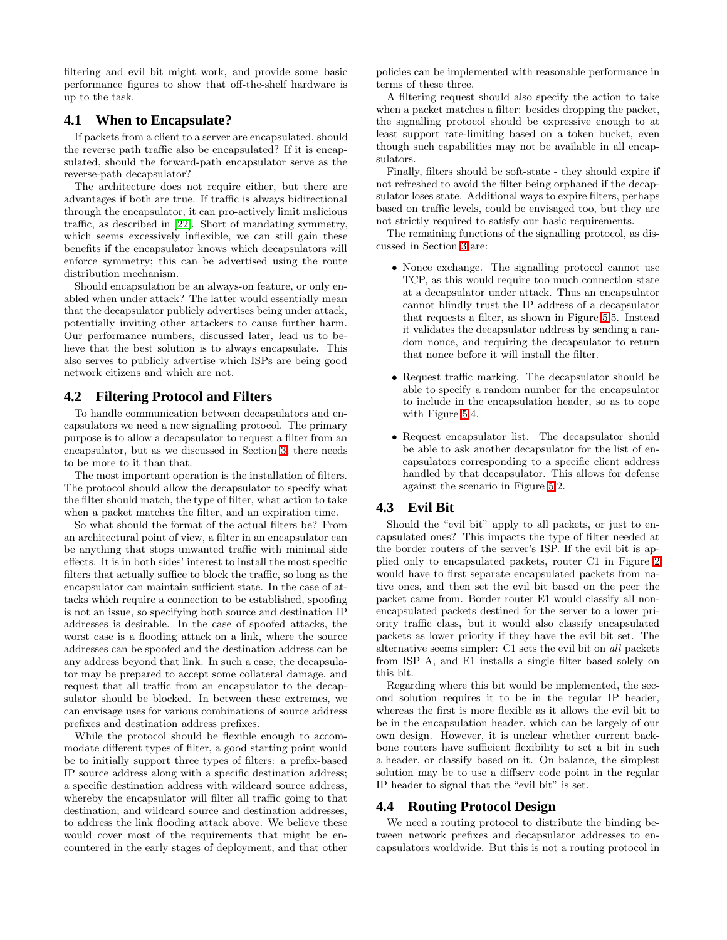filtering and evil bit might work, and provide some basic performance figures to show that off-the-shelf hardware is up to the task.

#### **4.1 When to Encapsulate?**

If packets from a client to a server are encapsulated, should the reverse path traffic also be encapsulated? If it is encapsulated, should the forward-path encapsulator serve as the reverse-path decapsulator?

The architecture does not require either, but there are advantages if both are true. If traffic is always bidirectional through the encapsulator, it can pro-actively limit malicious traffic, as described in [\[22\]](#page-9-5). Short of mandating symmetry, which seems excessively inflexible, we can still gain these benefits if the encapsulator knows which decapsulators will enforce symmetry; this can be advertised using the route distribution mechanism.

Should encapsulation be an always-on feature, or only enabled when under attack? The latter would essentially mean that the decapsulator publicly advertises being under attack, potentially inviting other attackers to cause further harm. Our performance numbers, discussed later, lead us to believe that the best solution is to always encapsulate. This also serves to publicly advertise which ISPs are being good network citizens and which are not.

#### **4.2 Filtering Protocol and Filters**

To handle communication between decapsulators and encapsulators we need a new signalling protocol. The primary purpose is to allow a decapsulator to request a filter from an encapsulator, but as we discussed in Section [3,](#page-3-2) there needs to be more to it than that.

The most important operation is the installation of filters. The protocol should allow the decapsulator to specify what the filter should match, the type of filter, what action to take when a packet matches the filter, and an expiration time.

So what should the format of the actual filters be? From an architectural point of view, a filter in an encapsulator can be anything that stops unwanted traffic with minimal side effects. It is in both sides' interest to install the most specific filters that actually suffice to block the traffic, so long as the encapsulator can maintain sufficient state. In the case of attacks which require a connection to be established, spoofing is not an issue, so specifying both source and destination IP addresses is desirable. In the case of spoofed attacks, the worst case is a flooding attack on a link, where the source addresses can be spoofed and the destination address can be any address beyond that link. In such a case, the decapsulator may be prepared to accept some collateral damage, and request that all traffic from an encapsulator to the decapsulator should be blocked. In between these extremes, we can envisage uses for various combinations of source address prefixes and destination address prefixes.

While the protocol should be flexible enough to accommodate different types of filter, a good starting point would be to initially support three types of filters: a prefix-based IP source address along with a specific destination address; a specific destination address with wildcard source address, whereby the encapsulator will filter all traffic going to that destination; and wildcard source and destination addresses, to address the link flooding attack above. We believe these would cover most of the requirements that might be encountered in the early stages of deployment, and that other policies can be implemented with reasonable performance in terms of these three.

A filtering request should also specify the action to take when a packet matches a filter: besides dropping the packet, the signalling protocol should be expressive enough to at least support rate-limiting based on a token bucket, even though such capabilities may not be available in all encapsulators.

Finally, filters should be soft-state - they should expire if not refreshed to avoid the filter being orphaned if the decapsulator loses state. Additional ways to expire filters, perhaps based on traffic levels, could be envisaged too, but they are not strictly required to satisfy our basic requirements.

The remaining functions of the signalling protocol, as discussed in Section [3](#page-3-2) are:

- Nonce exchange. The signalling protocol cannot use TCP, as this would require too much connection state at a decapsulator under attack. Thus an encapsulator cannot blindly trust the IP address of a decapsulator that requests a filter, as shown in Figure [5.](#page-4-0)5. Instead it validates the decapsulator address by sending a random nonce, and requiring the decapsulator to return that nonce before it will install the filter.
- Request traffic marking. The decapsulator should be able to specify a random number for the encapsulator to include in the encapsulation header, so as to cope with Figure [5.](#page-4-0)4.
- Request encapsulator list. The decapsulator should be able to ask another decapsulator for the list of encapsulators corresponding to a specific client address handled by that decapsulator. This allows for defense against the scenario in Figure [5.](#page-4-0)2.

## **4.3 Evil Bit**

Should the "evil bit" apply to all packets, or just to encapsulated ones? This impacts the type of filter needed at the border routers of the server's ISP. If the evil bit is applied only to encapsulated packets, router C1 in Figure [2](#page-2-0) would have to first separate encapsulated packets from native ones, and then set the evil bit based on the peer the packet came from. Border router E1 would classify all nonencapsulated packets destined for the server to a lower priority traffic class, but it would also classify encapsulated packets as lower priority if they have the evil bit set. The alternative seems simpler: C1 sets the evil bit on all packets from ISP A, and E1 installs a single filter based solely on this bit.

Regarding where this bit would be implemented, the second solution requires it to be in the regular IP header, whereas the first is more flexible as it allows the evil bit to be in the encapsulation header, which can be largely of our own design. However, it is unclear whether current backbone routers have sufficient flexibility to set a bit in such a header, or classify based on it. On balance, the simplest solution may be to use a diffserv code point in the regular IP header to signal that the "evil bit" is set.

#### <span id="page-5-0"></span>**4.4 Routing Protocol Design**

We need a routing protocol to distribute the binding between network prefixes and decapsulator addresses to encapsulators worldwide. But this is not a routing protocol in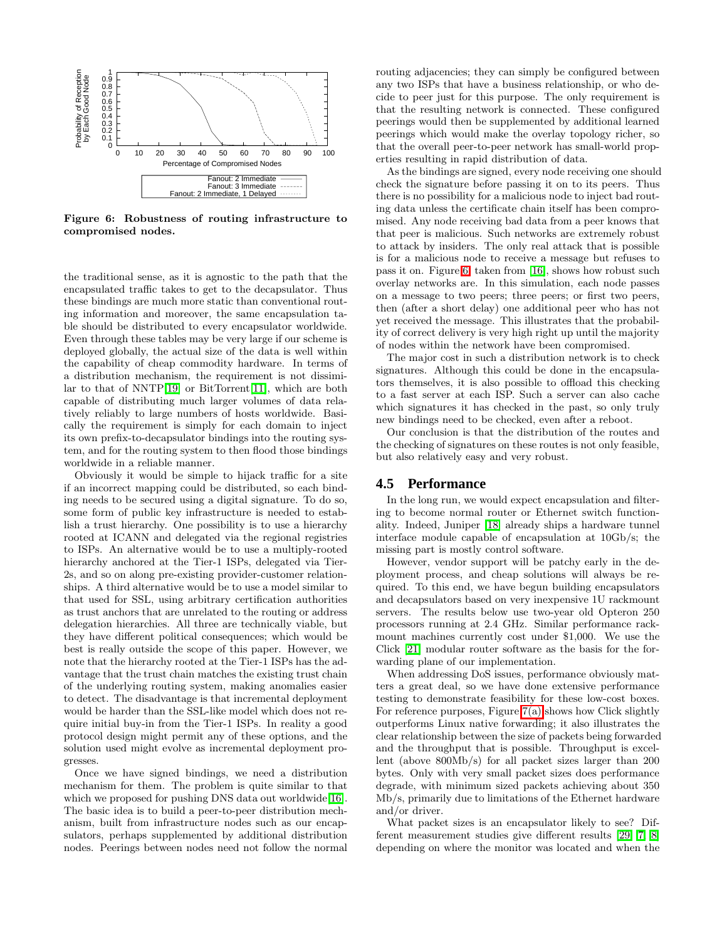

<span id="page-6-0"></span>Figure 6: Robustness of routing infrastructure to compromised nodes.

the traditional sense, as it is agnostic to the path that the encapsulated traffic takes to get to the decapsulator. Thus these bindings are much more static than conventional routing information and moreover, the same encapsulation table should be distributed to every encapsulator worldwide. Even through these tables may be very large if our scheme is deployed globally, the actual size of the data is well within the capability of cheap commodity hardware. In terms of a distribution mechanism, the requirement is not dissimilar to that of NNTP[\[19\]](#page-9-6) or BitTorrent[\[11\]](#page-9-7), which are both capable of distributing much larger volumes of data relatively reliably to large numbers of hosts worldwide. Basically the requirement is simply for each domain to inject its own prefix-to-decapsulator bindings into the routing system, and for the routing system to then flood those bindings worldwide in a reliable manner.

Obviously it would be simple to hijack traffic for a site if an incorrect mapping could be distributed, so each binding needs to be secured using a digital signature. To do so, some form of public key infrastructure is needed to establish a trust hierarchy. One possibility is to use a hierarchy rooted at ICANN and delegated via the regional registries to ISPs. An alternative would be to use a multiply-rooted hierarchy anchored at the Tier-1 ISPs, delegated via Tier-2s, and so on along pre-existing provider-customer relationships. A third alternative would be to use a model similar to that used for SSL, using arbitrary certification authorities as trust anchors that are unrelated to the routing or address delegation hierarchies. All three are technically viable, but they have different political consequences; which would be best is really outside the scope of this paper. However, we note that the hierarchy rooted at the Tier-1 ISPs has the advantage that the trust chain matches the existing trust chain of the underlying routing system, making anomalies easier to detect. The disadvantage is that incremental deployment would be harder than the SSL-like model which does not require initial buy-in from the Tier-1 ISPs. In reality a good protocol design might permit any of these options, and the solution used might evolve as incremental deployment progresses.

Once we have signed bindings, we need a distribution mechanism for them. The problem is quite similar to that which we proposed for pushing DNS data out worldwide [\[16\]](#page-9-8). The basic idea is to build a peer-to-peer distribution mechanism, built from infrastructure nodes such as our encapsulators, perhaps supplemented by additional distribution nodes. Peerings between nodes need not follow the normal routing adjacencies; they can simply be configured between any two ISPs that have a business relationship, or who decide to peer just for this purpose. The only requirement is that the resulting network is connected. These configured peerings would then be supplemented by additional learned peerings which would make the overlay topology richer, so that the overall peer-to-peer network has small-world properties resulting in rapid distribution of data.

As the bindings are signed, every node receiving one should check the signature before passing it on to its peers. Thus there is no possibility for a malicious node to inject bad routing data unless the certificate chain itself has been compromised. Any node receiving bad data from a peer knows that that peer is malicious. Such networks are extremely robust to attack by insiders. The only real attack that is possible is for a malicious node to receive a message but refuses to pass it on. Figure [6,](#page-6-0) taken from [\[16\]](#page-9-8), shows how robust such overlay networks are. In this simulation, each node passes on a message to two peers; three peers; or first two peers, then (after a short delay) one additional peer who has not yet received the message. This illustrates that the probability of correct delivery is very high right up until the majority of nodes within the network have been compromised.

The major cost in such a distribution network is to check signatures. Although this could be done in the encapsulators themselves, it is also possible to offload this checking to a fast server at each ISP. Such a server can also cache which signatures it has checked in the past, so only truly new bindings need to be checked, even after a reboot.

Our conclusion is that the distribution of the routes and the checking of signatures on these routes is not only feasible, but also relatively easy and very robust.

#### **4.5 Performance**

In the long run, we would expect encapsulation and filtering to become normal router or Ethernet switch functionality. Indeed, Juniper [\[18\]](#page-9-9) already ships a hardware tunnel interface module capable of encapsulation at 10Gb/s; the missing part is mostly control software.

However, vendor support will be patchy early in the deployment process, and cheap solutions will always be required. To this end, we have begun building encapsulators and decapsulators based on very inexpensive 1U rackmount servers. The results below use two-year old Opteron 250 processors running at 2.4 GHz. Similar performance rackmount machines currently cost under \$1,000. We use the Click [\[21\]](#page-9-10) modular router software as the basis for the forwarding plane of our implementation.

When addressing DoS issues, performance obviously matters a great deal, so we have done extensive performance testing to demonstrate feasibility for these low-cost boxes. For reference purposes, Figure [7\(a\)](#page-7-0) shows how Click slightly outperforms Linux native forwarding; it also illustrates the clear relationship between the size of packets being forwarded and the throughput that is possible. Throughput is excellent (above 800Mb/s) for all packet sizes larger than 200 bytes. Only with very small packet sizes does performance degrade, with minimum sized packets achieving about 350 Mb/s, primarily due to limitations of the Ethernet hardware and/or driver.

What packet sizes is an encapsulator likely to see? Different measurement studies give different results [\[29,](#page-9-11) [7,](#page-9-12) [8\]](#page-9-13) depending on where the monitor was located and when the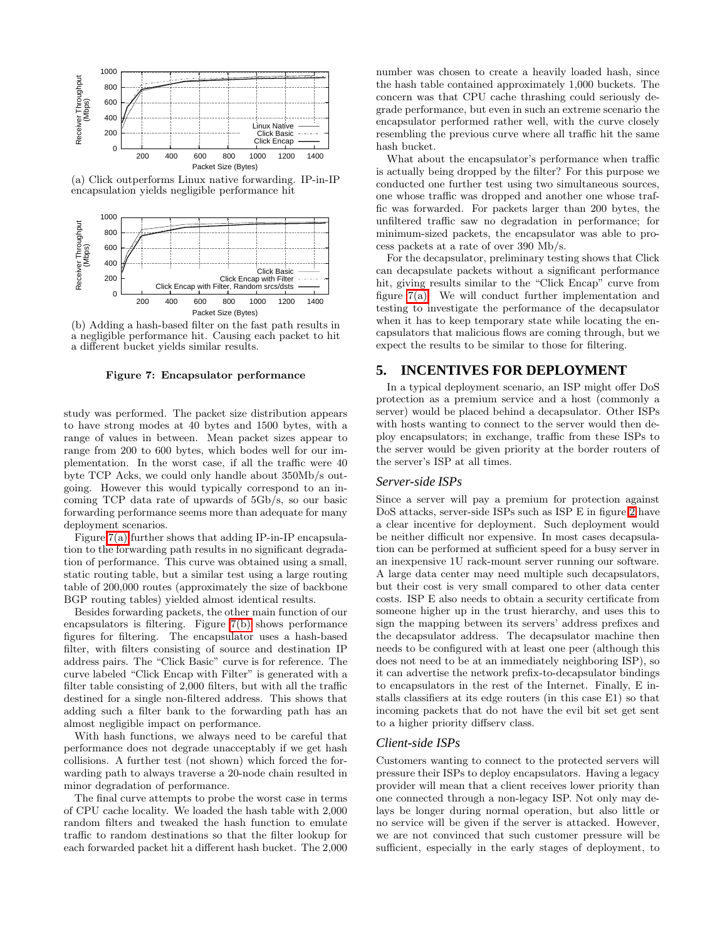<span id="page-7-0"></span>

(a) Click outperforms Linux native forwarding. IP-in-IP encapsulation yields negligible performance hit

<span id="page-7-1"></span>

(b) Adding a hash-based filter on the fast path results in a negligible performance hit. Causing each packet to hit a different bucket yields similar results.

Figure 7: Encapsulator performance

study was performed. The packet size distribution appears to have strong modes at 40 bytes and 1500 bytes, with a range of values in between. Mean packet sizes appear to range from 200 to 600 bytes, which bodes well for our implementation. In the worst case, if all the traffic were 40 byte TCP Acks, we could only handle about 350Mb/s outgoing. However this would typically correspond to an incoming TCP data rate of upwards of 5Gb/s, so our basic forwarding performance seems more than adequate for many deployment scenarios.

Figure [7\(a\)](#page-7-0) further shows that adding IP-in-IP encapsulation to the forwarding path results in no significant degradation of performance. This curve was obtained using a small, static routing table, but a similar test using a large routing table of 200,000 routes (approximately the size of backbone BGP routing tables) yielded almost identical results.

Besides forwarding packets, the other main function of our encapsulators is filtering. Figure [7\(b\)](#page-7-1) shows performance figures for filtering. The encapsulator uses a hash-based filter, with filters consisting of source and destination IP address pairs. The "Click Basic" curve is for reference. The curve labeled "Click Encap with Filter" is generated with a filter table consisting of 2,000 filters, but with all the traffic destined for a single non-filtered address. This shows that adding such a filter bank to the forwarding path has an almost negligible impact on performance.

With hash functions, we always need to be careful that performance does not degrade unacceptably if we get hash collisions. A further test (not shown) which forced the forwarding path to always traverse a 20-node chain resulted in minor degradation of performance.

The final curve attempts to probe the worst case in terms of CPU cache locality. We loaded the hash table with 2,000 random filters and tweaked the hash function to emulate traffic to random destinations so that the filter lookup for each forwarded packet hit a different hash bucket. The 2,000 number was chosen to create a heavily loaded hash, since the hash table contained approximately 1,000 buckets. The concern was that CPU cache thrashing could seriously degrade performance, but even in such an extreme scenario the encapsulator performed rather well, with the curve closely resembling the previous curve where all traffic hit the same hash bucket.

What about the encapsulator's performance when traffic is actually being dropped by the filter? For this purpose we conducted one further test using two simultaneous sources, one whose traffic was dropped and another one whose traffic was forwarded. For packets larger than 200 bytes, the unfiltered traffic saw no degradation in performance; for minimum-sized packets, the encapsulator was able to process packets at a rate of over 390 Mb/s.

For the decapsulator, preliminary testing shows that Click can decapsulate packets without a significant performance hit, giving results similar to the "Click Encap" curve from figure [7\(a\).](#page-7-0) We will conduct further implementation and testing to investigate the performance of the decapsulator when it has to keep temporary state while locating the encapsulators that malicious flows are coming through, but we expect the results to be similar to those for filtering.

#### **5. INCENTIVES FOR DEPLOYMENT**

In a typical deployment scenario, an ISP might offer DoS protection as a premium service and a host (commonly a server) would be placed behind a decapsulator. Other ISPs with hosts wanting to connect to the server would then deploy encapsulators; in exchange, traffic from these ISPs to the server would be given priority at the border routers of the server's ISP at all times.

#### *Server-side ISPs*

Since a server will pay a premium for protection against DoS attacks, server-side ISPs such as ISP E in figure [2](#page-2-0) have a clear incentive for deployment. Such deployment would be neither difficult nor expensive. In most cases decapsulation can be performed at sufficient speed for a busy server in an inexpensive 1U rack-mount server running our software. A large data center may need multiple such decapsulators, but their cost is very small compared to other data center costs. ISP E also needs to obtain a security certificate from someone higher up in the trust hierarchy, and uses this to sign the mapping between its servers' address prefixes and the decapsulator address. The decapsulator machine then needs to be configured with at least one peer (although this does not need to be at an immediately neighboring ISP), so it can advertise the network prefix-to-decapsulator bindings to encapsulators in the rest of the Internet. Finally, E installs classifiers at its edge routers (in this case E1) so that incoming packets that do not have the evil bit set get sent to a higher priority diffserv class.

#### *Client-side ISPs*

Customers wanting to connect to the protected servers will pressure their ISPs to deploy encapsulators. Having a legacy provider will mean that a client receives lower priority than one connected through a non-legacy ISP. Not only may delays be longer during normal operation, but also little or no service will be given if the server is attacked. However, we are not convinced that such customer pressure will be sufficient, especially in the early stages of deployment, to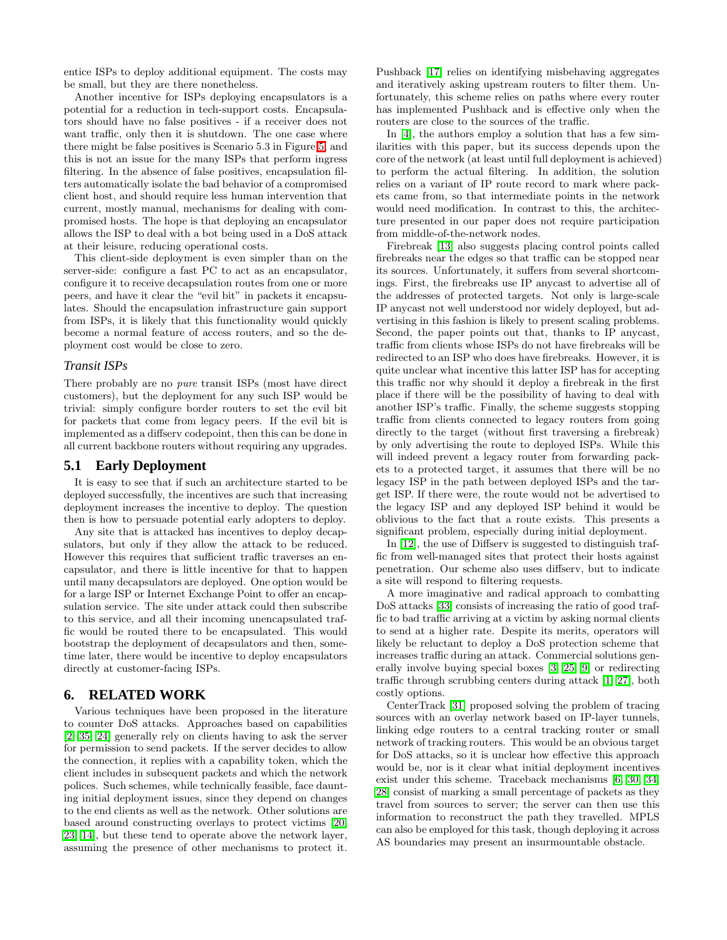entice ISPs to deploy additional equipment. The costs may be small, but they are there nonetheless.

Another incentive for ISPs deploying encapsulators is a potential for a reduction in tech-support costs. Encapsulators should have no false positives - if a receiver does not want traffic, only then it is shutdown. The one case where there might be false positives is Scenario 5.3 in Figure [5,](#page-4-0) and this is not an issue for the many ISPs that perform ingress filtering. In the absence of false positives, encapsulation filters automatically isolate the bad behavior of a compromised client host, and should require less human intervention that current, mostly manual, mechanisms for dealing with compromised hosts. The hope is that deploying an encapsulator allows the ISP to deal with a bot being used in a DoS attack at their leisure, reducing operational costs.

This client-side deployment is even simpler than on the server-side: configure a fast PC to act as an encapsulator, configure it to receive decapsulation routes from one or more peers, and have it clear the "evil bit" in packets it encapsulates. Should the encapsulation infrastructure gain support from ISPs, it is likely that this functionality would quickly become a normal feature of access routers, and so the deployment cost would be close to zero.

#### *Transit ISPs*

There probably are no pure transit ISPs (most have direct customers), but the deployment for any such ISP would be trivial: simply configure border routers to set the evil bit for packets that come from legacy peers. If the evil bit is implemented as a diffserv codepoint, then this can be done in all current backbone routers without requiring any upgrades.

#### **5.1 Early Deployment**

It is easy to see that if such an architecture started to be deployed successfully, the incentives are such that increasing deployment increases the incentive to deploy. The question then is how to persuade potential early adopters to deploy.

Any site that is attacked has incentives to deploy decapsulators, but only if they allow the attack to be reduced. However this requires that sufficient traffic traverses an encapsulator, and there is little incentive for that to happen until many decapsulators are deployed. One option would be for a large ISP or Internet Exchange Point to offer an encapsulation service. The site under attack could then subscribe to this service, and all their incoming unencapsulated traffic would be routed there to be encapsulated. This would bootstrap the deployment of decapsulators and then, sometime later, there would be incentive to deploy encapsulators directly at customer-facing ISPs.

#### **6. RELATED WORK**

Various techniques have been proposed in the literature to counter DoS attacks. Approaches based on capabilities [\[2,](#page-9-14) [35,](#page-9-15) [24\]](#page-9-16) generally rely on clients having to ask the server for permission to send packets. If the server decides to allow the connection, it replies with a capability token, which the client includes in subsequent packets and which the network polices. Such schemes, while technically feasible, face daunting initial deployment issues, since they depend on changes to the end clients as well as the network. Other solutions are based around constructing overlays to protect victims [\[20,](#page-9-17) [23,](#page-9-18) [14\]](#page-9-19), but these tend to operate above the network layer, assuming the presence of other mechanisms to protect it.

Pushback [\[17\]](#page-9-20) relies on identifying misbehaving aggregates and iteratively asking upstream routers to filter them. Unfortunately, this scheme relies on paths where every router has implemented Pushback and is effective only when the routers are close to the sources of the traffic.

In [\[4\]](#page-9-21), the authors employ a solution that has a few similarities with this paper, but its success depends upon the core of the network (at least until full deployment is achieved) to perform the actual filtering. In addition, the solution relies on a variant of IP route record to mark where packets came from, so that intermediate points in the network would need modification. In contrast to this, the architecture presented in our paper does not require participation from middle-of-the-network nodes.

Firebreak [\[13\]](#page-9-22) also suggests placing control points called firebreaks near the edges so that traffic can be stopped near its sources. Unfortunately, it suffers from several shortcomings. First, the firebreaks use IP anycast to advertise all of the addresses of protected targets. Not only is large-scale IP anycast not well understood nor widely deployed, but advertising in this fashion is likely to present scaling problems. Second, the paper points out that, thanks to IP anycast, traffic from clients whose ISPs do not have firebreaks will be redirected to an ISP who does have firebreaks. However, it is quite unclear what incentive this latter ISP has for accepting this traffic nor why should it deploy a firebreak in the first place if there will be the possibility of having to deal with another ISP's traffic. Finally, the scheme suggests stopping traffic from clients connected to legacy routers from going directly to the target (without first traversing a firebreak) by only advertising the route to deployed ISPs. While this will indeed prevent a legacy router from forwarding packets to a protected target, it assumes that there will be no legacy ISP in the path between deployed ISPs and the target ISP. If there were, the route would not be advertised to the legacy ISP and any deployed ISP behind it would be oblivious to the fact that a route exists. This presents a significant problem, especially during initial deployment.

In [\[12\]](#page-9-23), the use of Diffserv is suggested to distinguish traffic from well-managed sites that protect their hosts against penetration. Our scheme also uses diffserv, but to indicate a site will respond to filtering requests.

A more imaginative and radical approach to combatting DoS attacks [\[33\]](#page-9-24) consists of increasing the ratio of good traffic to bad traffic arriving at a victim by asking normal clients to send at a higher rate. Despite its merits, operators will likely be reluctant to deploy a DoS protection scheme that increases traffic during an attack. Commercial solutions generally involve buying special boxes [\[3,](#page-9-25) [25,](#page-9-26) [9\]](#page-9-27) or redirecting traffic through scrubbing centers during attack [\[1,](#page-9-28) [27\]](#page-9-29), both costly options.

CenterTrack [\[31\]](#page-9-30) proposed solving the problem of tracing sources with an overlay network based on IP-layer tunnels, linking edge routers to a central tracking router or small network of tracking routers. This would be an obvious target for DoS attacks, so it is unclear how effective this approach would be, nor is it clear what initial deployment incentives exist under this scheme. Traceback mechanisms [\[6,](#page-9-31) [30,](#page-9-32) [34,](#page-9-33) [28\]](#page-9-34) consist of marking a small percentage of packets as they travel from sources to server; the server can then use this information to reconstruct the path they travelled. MPLS can also be employed for this task, though deploying it across AS boundaries may present an insurmountable obstacle.